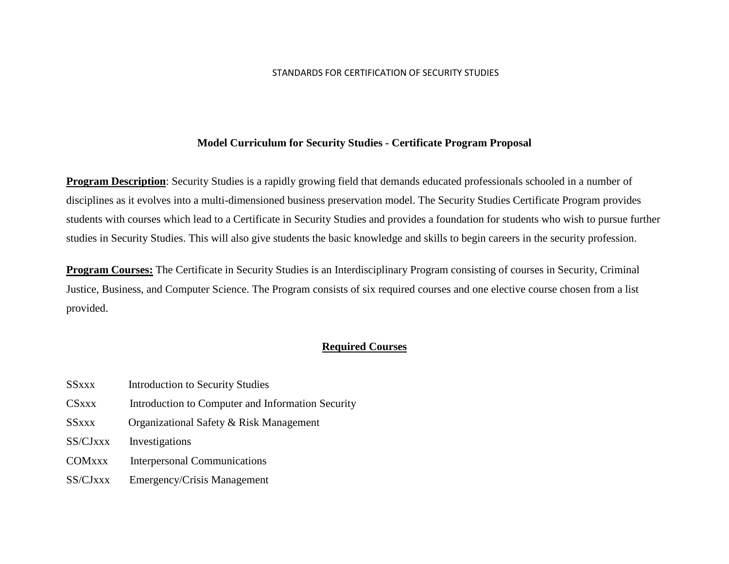#### STANDARDS FOR CERTIFICATION OF SECURITY STUDIES

#### **Model Curriculum for Security Studies - Certificate Program Proposal**

**Program Description**: Security Studies is a rapidly growing field that demands educated professionals schooled in a number of disciplines as it evolves into a multi-dimensioned business preservation model. The Security Studies Certificate Program provides students with courses which lead to a Certificate in Security Studies and provides a foundation for students who wish to pursue further studies in Security Studies. This will also give students the basic knowledge and skills to begin careers in the security profession.

**Program Courses:** The Certificate in Security Studies is an Interdisciplinary Program consisting of courses in Security, Criminal Justice, Business, and Computer Science. The Program consists of six required courses and one elective course chosen from a list provided.

#### **Required Courses**

- SSxxx Introduction to Security Studies
- CSxxx Introduction to Computer and Information Security
- SSxxx Organizational Safety & Risk Management
- SS/CJxxx Investigations
- COMxxx Interpersonal Communications
- SS/CJxxx Emergency/Crisis Management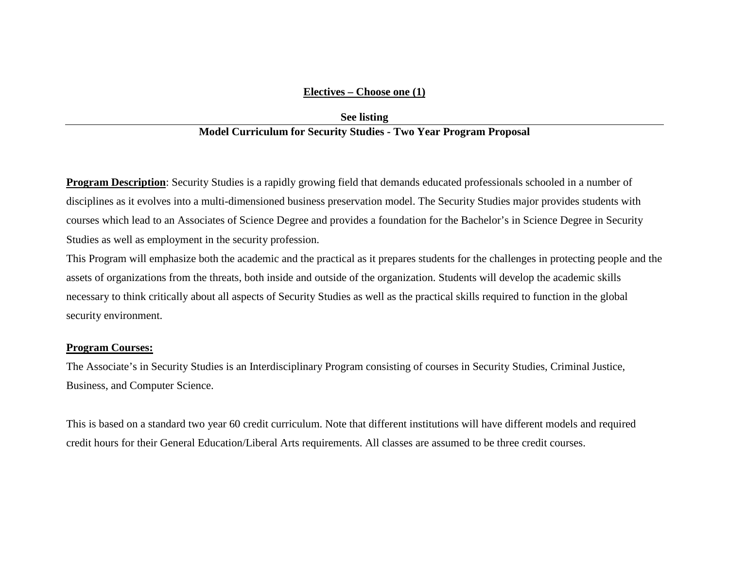#### **Electives – Choose one (1)**

## **See listing Model Curriculum for Security Studies - Two Year Program Proposal**

**Program Description**: Security Studies is a rapidly growing field that demands educated professionals schooled in a number of disciplines as it evolves into a multi-dimensioned business preservation model. The Security Studies major provides students with courses which lead to an Associates of Science Degree and provides a foundation for the Bachelor's in Science Degree in Security Studies as well as employment in the security profession.

This Program will emphasize both the academic and the practical as it prepares students for the challenges in protecting people and the assets of organizations from the threats, both inside and outside of the organization. Students will develop the academic skills necessary to think critically about all aspects of Security Studies as well as the practical skills required to function in the global security environment.

#### **Program Courses:**

The Associate's in Security Studies is an Interdisciplinary Program consisting of courses in Security Studies, Criminal Justice, Business, and Computer Science.

This is based on a standard two year 60 credit curriculum. Note that different institutions will have different models and required credit hours for their General Education/Liberal Arts requirements. All classes are assumed to be three credit courses.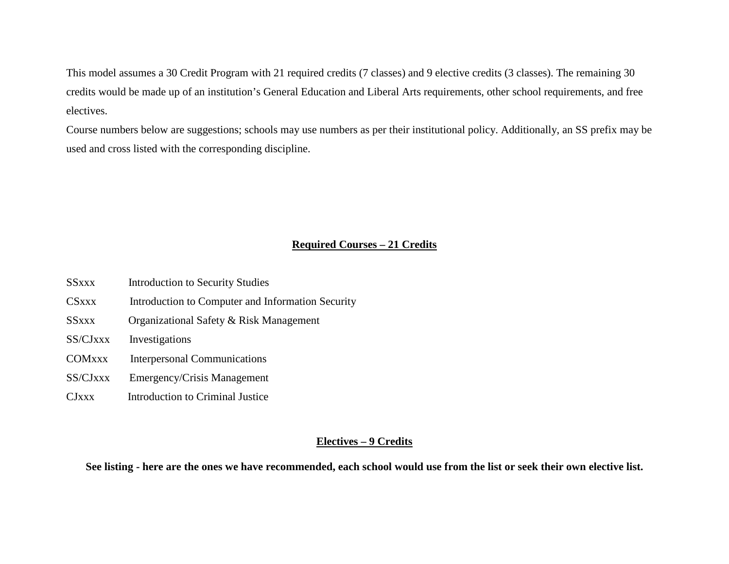This model assumes a 30 Credit Program with 21 required credits (7 classes) and 9 elective credits (3 classes). The remaining 30 credits would be made up of an institution's General Education and Liberal Arts requirements, other school requirements, and free electives.

Course numbers below are suggestions; schools may use numbers as per their institutional policy. Additionally, an SS prefix may be used and cross listed with the corresponding discipline.

## **Required Courses – 21 Credits**

- SSxxx Introduction to Security Studies CSxxx Introduction to Computer and Information Security SSxxx Organizational Safety & Risk Management SS/CJxxx Investigations COMxxx Interpersonal Communications SS/CJxxx Emergency/Crisis Management
- CJxxx Introduction to Criminal Justice

#### **Electives – 9 Credits**

**See listing - here are the ones we have recommended, each school would use from the list or seek their own elective list.**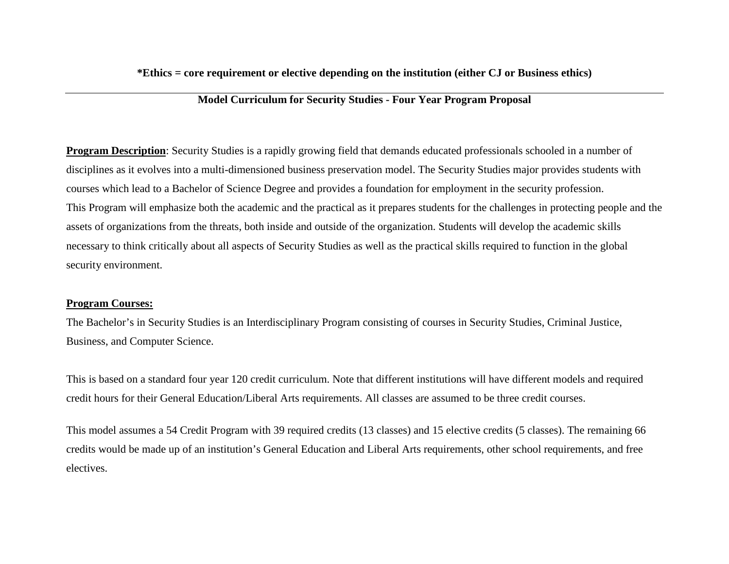#### **\*Ethics = core requirement or elective depending on the institution (either CJ or Business ethics)**

## **Model Curriculum for Security Studies - Four Year Program Proposal**

**Program Description**: Security Studies is a rapidly growing field that demands educated professionals schooled in a number of disciplines as it evolves into a multi-dimensioned business preservation model. The Security Studies major provides students with courses which lead to a Bachelor of Science Degree and provides a foundation for employment in the security profession. This Program will emphasize both the academic and the practical as it prepares students for the challenges in protecting people and the assets of organizations from the threats, both inside and outside of the organization. Students will develop the academic skills necessary to think critically about all aspects of Security Studies as well as the practical skills required to function in the global security environment.

#### **Program Courses:**

The Bachelor's in Security Studies is an Interdisciplinary Program consisting of courses in Security Studies, Criminal Justice, Business, and Computer Science.

This is based on a standard four year 120 credit curriculum. Note that different institutions will have different models and required credit hours for their General Education/Liberal Arts requirements. All classes are assumed to be three credit courses.

This model assumes a 54 Credit Program with 39 required credits (13 classes) and 15 elective credits (5 classes). The remaining 66 credits would be made up of an institution's General Education and Liberal Arts requirements, other school requirements, and free electives.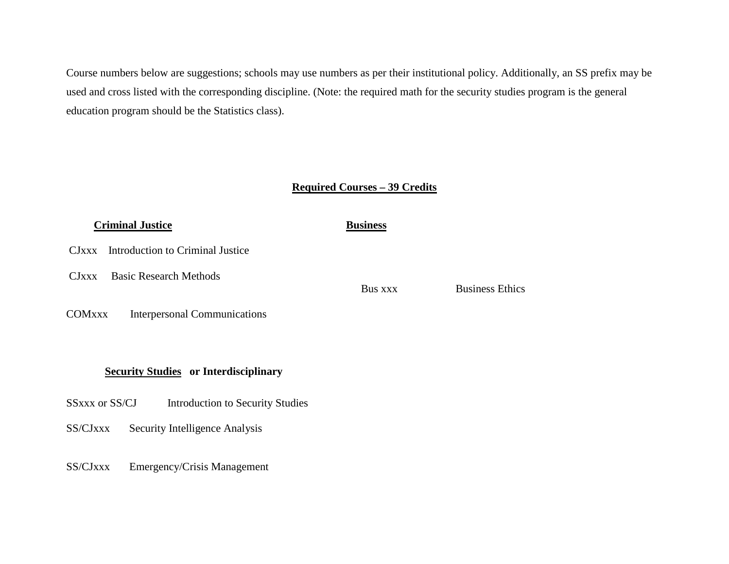Course numbers below are suggestions; schools may use numbers as per their institutional policy. Additionally, an SS prefix may be used and cross listed with the corresponding discipline. (Note: the required math for the security studies program is the general education program should be the Statistics class).

#### **Required Courses – 39 Credits**

# *Criminal Justice* **Business** CJxxx Introduction to Criminal Justice CJxxx Basic Research Methods Bus xxx Business Ethics COMxxx Interpersonal Communications

### **Security Studies or Interdisciplinary**

- SSxxx or SS/CJ Introduction to Security Studies
- SS/CJxxx Security Intelligence Analysis
- SS/CJxxx Emergency/Crisis Management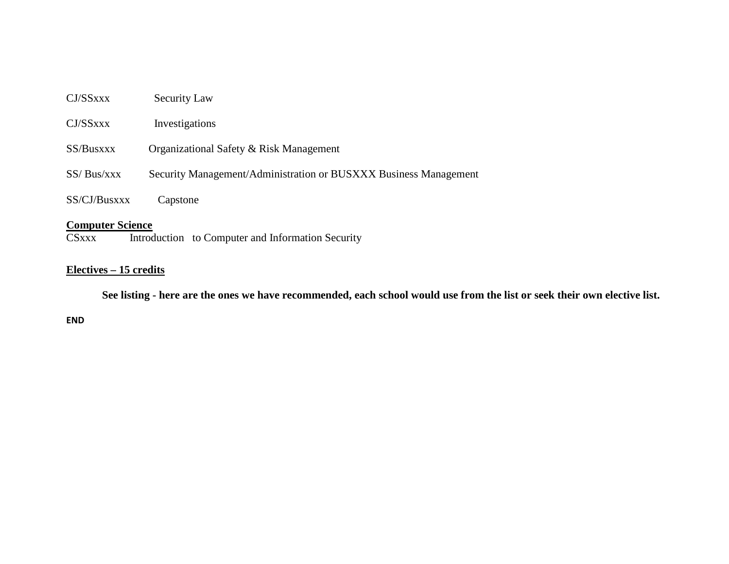| CJ/SSxxx                | <b>Security Law</b>                                              |
|-------------------------|------------------------------------------------------------------|
| CJ/SSxxx                | Investigations                                                   |
| SS/Busxxx               | Organizational Safety & Risk Management                          |
| SS/ Bus/XXX             | Security Management/Administration or BUSXXX Business Management |
| SS/CJ/Busxxx            | Capstone                                                         |
| <b>Computer Science</b> |                                                                  |

CSxxx Introduction to Computer and Information Security

## **Electives – 15 credits**

 **See listing - here are the ones we have recommended, each school would use from the list or seek their own elective list.**

**END**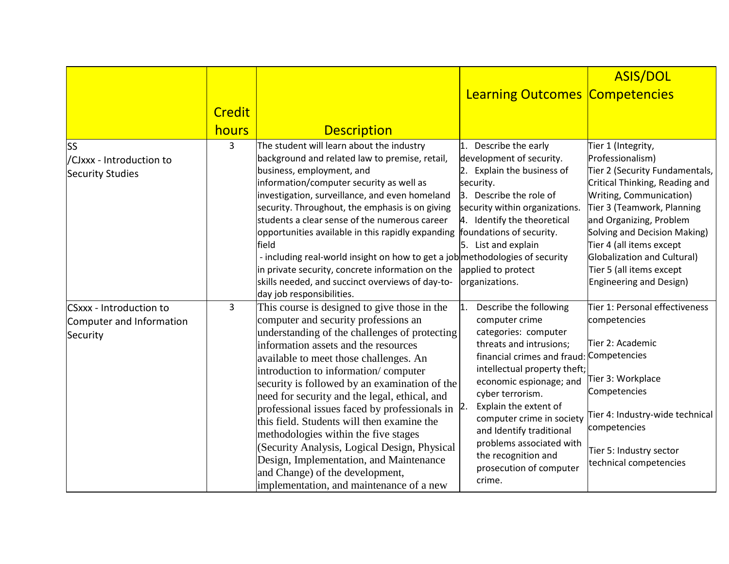|                                                                 |               |                                                                                                                                                                                                                                                                                                                                                                                                                                                                                                                                                                                                                                                                                    |                                                                                                                                                                                                                                                                                                                                                                                                              | <b>ASIS/DOL</b>                                                                                                                                                                                                                                                                                                                                  |
|-----------------------------------------------------------------|---------------|------------------------------------------------------------------------------------------------------------------------------------------------------------------------------------------------------------------------------------------------------------------------------------------------------------------------------------------------------------------------------------------------------------------------------------------------------------------------------------------------------------------------------------------------------------------------------------------------------------------------------------------------------------------------------------|--------------------------------------------------------------------------------------------------------------------------------------------------------------------------------------------------------------------------------------------------------------------------------------------------------------------------------------------------------------------------------------------------------------|--------------------------------------------------------------------------------------------------------------------------------------------------------------------------------------------------------------------------------------------------------------------------------------------------------------------------------------------------|
|                                                                 |               |                                                                                                                                                                                                                                                                                                                                                                                                                                                                                                                                                                                                                                                                                    | <b>Learning Outcomes Competencies</b>                                                                                                                                                                                                                                                                                                                                                                        |                                                                                                                                                                                                                                                                                                                                                  |
|                                                                 | <b>Credit</b> |                                                                                                                                                                                                                                                                                                                                                                                                                                                                                                                                                                                                                                                                                    |                                                                                                                                                                                                                                                                                                                                                                                                              |                                                                                                                                                                                                                                                                                                                                                  |
|                                                                 | hours         | <b>Description</b>                                                                                                                                                                                                                                                                                                                                                                                                                                                                                                                                                                                                                                                                 |                                                                                                                                                                                                                                                                                                                                                                                                              |                                                                                                                                                                                                                                                                                                                                                  |
| <b>SS</b><br>/CJxxx - Introduction to<br>Security Studies       | 3             | The student will learn about the industry<br>background and related law to premise, retail,<br>business, employment, and<br>information/computer security as well as<br>investigation, surveillance, and even homeland<br>security. Throughout, the emphasis is on giving<br>students a clear sense of the numerous career<br>opportunities available in this rapidly expanding<br>field<br>- including real-world insight on how to get a job methodologies of security<br>in private security, concrete information on the<br>skills needed, and succinct overviews of day-to-<br>day job responsibilities.                                                                      | Describe the early<br>development of security.<br>2. Explain the business of<br>security.<br>3. Describe the role of<br>security within organizations.<br>4. Identify the theoretical<br>foundations of security.<br>5. List and explain<br>applied to protect<br>organizations.                                                                                                                             | Tier 1 (Integrity,<br>Professionalism)<br>Tier 2 (Security Fundamentals,<br>Critical Thinking, Reading and<br>Writing, Communication)<br>Tier 3 (Teamwork, Planning<br>and Organizing, Problem<br>Solving and Decision Making)<br>Tier 4 (all items except<br>Globalization and Cultural)<br>Tier 5 (all items except<br>Engineering and Design) |
| CSxxx - Introduction to<br>Computer and Information<br>Security | 3             | This course is designed to give those in the<br>computer and security professions an<br>understanding of the challenges of protecting<br>information assets and the resources<br>available to meet those challenges. An<br>introduction to information/computer<br>security is followed by an examination of the<br>need for security and the legal, ethical, and<br>professional issues faced by professionals in<br>this field. Students will then examine the<br>methodologies within the five stages<br>(Security Analysis, Logical Design, Physical<br>Design, Implementation, and Maintenance<br>and Change) of the development,<br>implementation, and maintenance of a new | Describe the following<br>1.<br>computer crime<br>categories: computer<br>threats and intrusions;<br>financial crimes and fraud: Competencies<br>intellectual property theft;<br>economic espionage; and<br>cyber terrorism.<br>Explain the extent of<br>2.<br>computer crime in society<br>and Identify traditional<br>problems associated with<br>the recognition and<br>prosecution of computer<br>crime. | Tier 1: Personal effectiveness<br>competencies<br>Tier 2: Academic<br>Tier 3: Workplace<br>Competencies<br>Tier 4: Industry-wide technical<br>competencies<br>Tier 5: Industry sector<br>technical competencies                                                                                                                                  |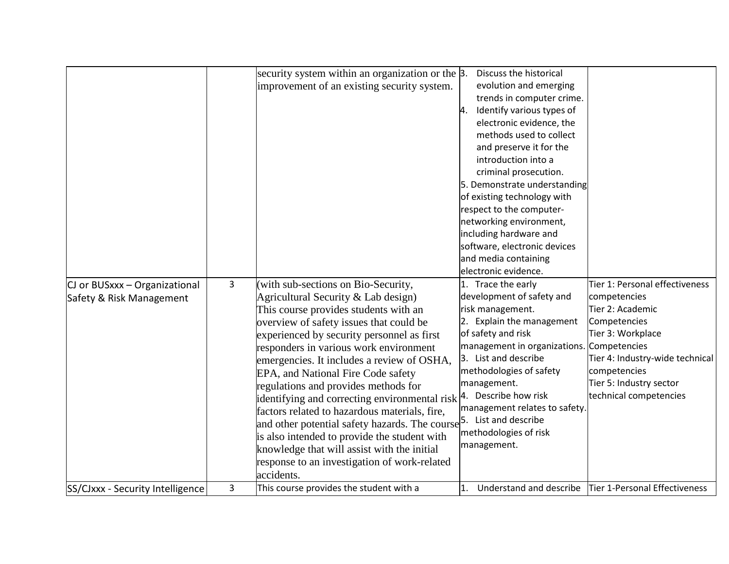|                                  |   | security system within an organization or the 3.                                | Discuss the historical                    |                                                         |
|----------------------------------|---|---------------------------------------------------------------------------------|-------------------------------------------|---------------------------------------------------------|
|                                  |   | improvement of an existing security system.                                     | evolution and emerging                    |                                                         |
|                                  |   |                                                                                 | trends in computer crime.                 |                                                         |
|                                  |   |                                                                                 | Identify various types of<br>4.           |                                                         |
|                                  |   |                                                                                 | electronic evidence, the                  |                                                         |
|                                  |   |                                                                                 | methods used to collect                   |                                                         |
|                                  |   |                                                                                 | and preserve it for the                   |                                                         |
|                                  |   |                                                                                 | introduction into a                       |                                                         |
|                                  |   |                                                                                 | criminal prosecution.                     |                                                         |
|                                  |   |                                                                                 | 5. Demonstrate understanding              |                                                         |
|                                  |   |                                                                                 | of existing technology with               |                                                         |
|                                  |   |                                                                                 | respect to the computer-                  |                                                         |
|                                  |   |                                                                                 | networking environment,                   |                                                         |
|                                  |   |                                                                                 | including hardware and                    |                                                         |
|                                  |   |                                                                                 | software, electronic devices              |                                                         |
|                                  |   |                                                                                 | and media containing                      |                                                         |
|                                  |   |                                                                                 | electronic evidence.                      |                                                         |
| CJ or BUSxxx - Organizational    | 3 | (with sub-sections on Bio-Security,                                             | 1. Trace the early                        | Tier 1: Personal effectiveness                          |
| Safety & Risk Management         |   | Agricultural Security & Lab design)                                             | development of safety and                 | competencies                                            |
|                                  |   | This course provides students with an                                           | risk management.                          | Tier 2: Academic                                        |
|                                  |   | overview of safety issues that could be                                         | 2. Explain the management                 | Competencies                                            |
|                                  |   | experienced by security personnel as first                                      | of safety and risk                        | Tier 3: Workplace                                       |
|                                  |   | responders in various work environment                                          | management in organizations. Competencies |                                                         |
|                                  |   | emergencies. It includes a review of OSHA,                                      | 3. List and describe                      | Tier 4: Industry-wide technical                         |
|                                  |   | EPA, and National Fire Code safety                                              | methodologies of safety                   | competencies                                            |
|                                  |   | regulations and provides methods for                                            | management.                               | Tier 5: Industry sector                                 |
|                                  |   | identifying and correcting environmental risk $ 4$ . Describe how risk          |                                           | technical competencies                                  |
|                                  |   | factors related to hazardous materials, fire,                                   | management relates to safety.             |                                                         |
|                                  |   | and other potential safety hazards. The course <sup>5</sup> . List and describe |                                           |                                                         |
|                                  |   | is also intended to provide the student with                                    | methodologies of risk                     |                                                         |
|                                  |   | knowledge that will assist with the initial                                     | management.                               |                                                         |
|                                  |   | response to an investigation of work-related                                    |                                           |                                                         |
|                                  |   | accidents.                                                                      |                                           |                                                         |
| SS/CJxxx - Security Intelligence | 3 | This course provides the student with a                                         |                                           | Understand and describe   Tier 1-Personal Effectiveness |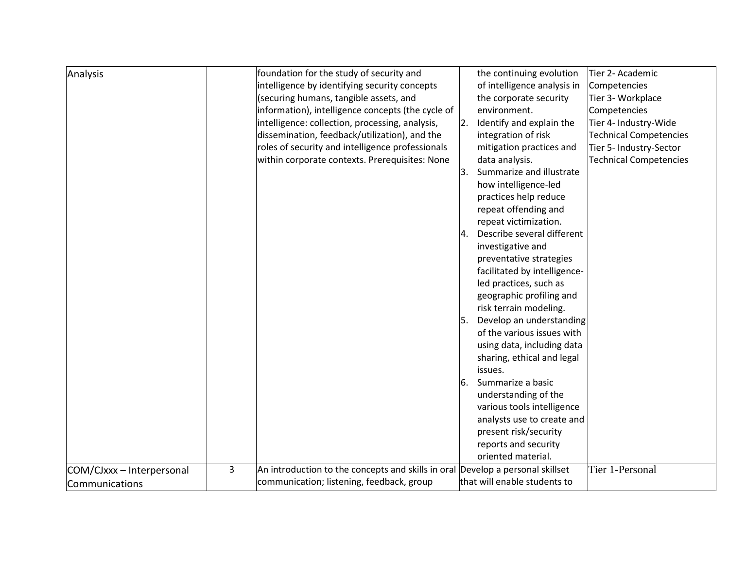| Analysis                                    |   | foundation for the study of security and<br>intelligence by identifying security concepts<br>(securing humans, tangible assets, and<br>information), intelligence concepts (the cycle of<br>intelligence: collection, processing, analysis,<br>dissemination, feedback/utilization), and the<br>roles of security and intelligence professionals<br>within corporate contexts. Prerequisites: None | 2.       | the continuing evolution<br>of intelligence analysis in<br>the corporate security<br>environment.<br>Identify and explain the<br>integration of risk<br>mitigation practices and<br>data analysis.                                                                                             | Tier 2- Academic<br>Competencies<br>Tier 3- Workplace<br>Competencies<br>Tier 4- Industry-Wide<br><b>Technical Competencies</b><br>Tier 5- Industry-Sector<br><b>Technical Competencies</b> |
|---------------------------------------------|---|----------------------------------------------------------------------------------------------------------------------------------------------------------------------------------------------------------------------------------------------------------------------------------------------------------------------------------------------------------------------------------------------------|----------|------------------------------------------------------------------------------------------------------------------------------------------------------------------------------------------------------------------------------------------------------------------------------------------------|---------------------------------------------------------------------------------------------------------------------------------------------------------------------------------------------|
|                                             |   |                                                                                                                                                                                                                                                                                                                                                                                                    | 3.<br>4. | Summarize and illustrate<br>how intelligence-led<br>practices help reduce<br>repeat offending and<br>repeat victimization.<br>Describe several different<br>investigative and<br>preventative strategies<br>facilitated by intelligence-<br>led practices, such as<br>geographic profiling and |                                                                                                                                                                                             |
|                                             |   |                                                                                                                                                                                                                                                                                                                                                                                                    | l5.      | risk terrain modeling.<br>Develop an understanding<br>of the various issues with<br>using data, including data<br>sharing, ethical and legal<br>issues.                                                                                                                                        |                                                                                                                                                                                             |
|                                             |   |                                                                                                                                                                                                                                                                                                                                                                                                    | 6.       | Summarize a basic<br>understanding of the<br>various tools intelligence<br>analysts use to create and<br>present risk/security<br>reports and security<br>oriented material.                                                                                                                   |                                                                                                                                                                                             |
| COM/CJxxx - Interpersonal<br>Communications | 3 | An introduction to the concepts and skills in oral<br>communication; listening, feedback, group                                                                                                                                                                                                                                                                                                    |          | Develop a personal skillset<br>that will enable students to                                                                                                                                                                                                                                    | Tier 1-Personal                                                                                                                                                                             |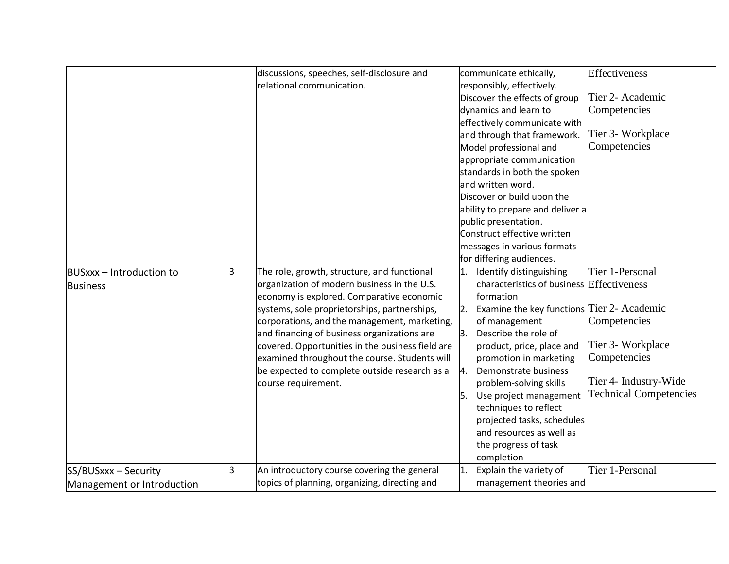|                            |   | discussions, speeches, self-disclosure and       |    | communicate ethically,                        | <b>Effectiveness</b>          |
|----------------------------|---|--------------------------------------------------|----|-----------------------------------------------|-------------------------------|
|                            |   | relational communication.                        |    | responsibly, effectively.                     |                               |
|                            |   |                                                  |    | Discover the effects of group                 | Tier 2- Academic              |
|                            |   |                                                  |    | dynamics and learn to                         | Competencies                  |
|                            |   |                                                  |    | effectively communicate with                  |                               |
|                            |   |                                                  |    | and through that framework.                   | Tier 3- Workplace             |
|                            |   |                                                  |    | Model professional and                        | Competencies                  |
|                            |   |                                                  |    | appropriate communication                     |                               |
|                            |   |                                                  |    | standards in both the spoken                  |                               |
|                            |   |                                                  |    | and written word.                             |                               |
|                            |   |                                                  |    | Discover or build upon the                    |                               |
|                            |   |                                                  |    | ability to prepare and deliver a              |                               |
|                            |   |                                                  |    | public presentation.                          |                               |
|                            |   |                                                  |    | Construct effective written                   |                               |
|                            |   |                                                  |    | messages in various formats                   |                               |
|                            |   |                                                  |    | for differing audiences.                      |                               |
| BUSxxx - Introduction to   | 3 | The role, growth, structure, and functional      | 1. | Identify distinguishing                       | Tier 1-Personal               |
| <b>Business</b>            |   | organization of modern business in the U.S.      |    | characteristics of business Effectiveness     |                               |
|                            |   | economy is explored. Comparative economic        |    | formation                                     |                               |
|                            |   | systems, sole proprietorships, partnerships,     |    | 2. Examine the key functions Tier 2- Academic |                               |
|                            |   | corporations, and the management, marketing,     |    | of management                                 | Competencies                  |
|                            |   | and financing of business organizations are      | 3. | Describe the role of                          |                               |
|                            |   | covered. Opportunities in the business field are |    | product, price, place and                     | Tier 3- Workplace             |
|                            |   | examined throughout the course. Students will    |    | promotion in marketing                        | Competencies                  |
|                            |   | be expected to complete outside research as a    | 4. | Demonstrate business                          |                               |
|                            |   | course requirement.                              |    | problem-solving skills                        | Tier 4- Industry-Wide         |
|                            |   |                                                  | 5. | Use project management                        | <b>Technical Competencies</b> |
|                            |   |                                                  |    | techniques to reflect                         |                               |
|                            |   |                                                  |    | projected tasks, schedules                    |                               |
|                            |   |                                                  |    | and resources as well as                      |                               |
|                            |   |                                                  |    | the progress of task                          |                               |
|                            |   |                                                  |    | completion                                    |                               |
| SS/BUSxxx - Security       | 3 | An introductory course covering the general      | 1. | Explain the variety of                        | Tier 1-Personal               |
| Management or Introduction |   | topics of planning, organizing, directing and    |    | management theories and                       |                               |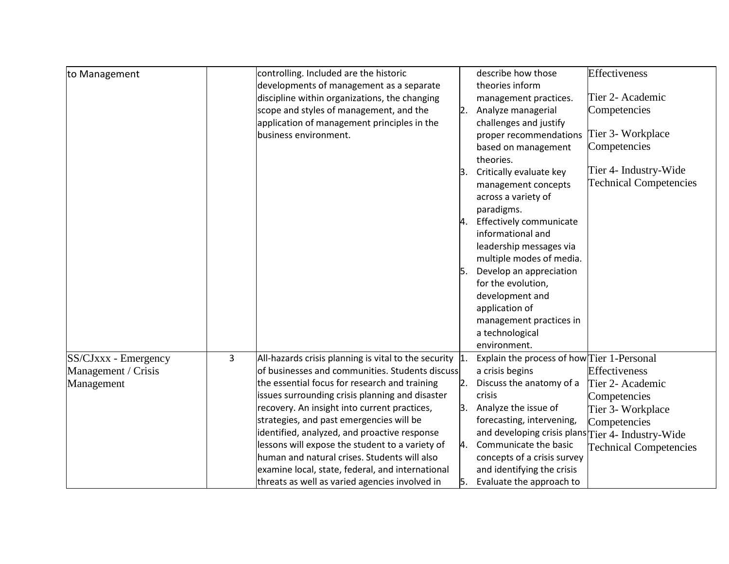| to Management        |   | controlling. Included are the historic                      |                  | describe how those                                | <b>Effectiveness</b>          |
|----------------------|---|-------------------------------------------------------------|------------------|---------------------------------------------------|-------------------------------|
|                      |   | developments of management as a separate                    |                  | theories inform                                   |                               |
|                      |   | discipline within organizations, the changing               |                  | management practices.                             | Tier 2- Academic              |
|                      |   | scope and styles of management, and the                     | $\overline{2}$ . | Analyze managerial                                | Competencies                  |
|                      |   | application of management principles in the                 |                  | challenges and justify                            |                               |
|                      |   | business environment.                                       |                  | proper recommendations                            | Tier 3- Workplace             |
|                      |   |                                                             |                  | based on management                               | Competencies                  |
|                      |   |                                                             |                  | theories.                                         |                               |
|                      |   |                                                             | Β.               | Critically evaluate key                           | Tier 4- Industry-Wide         |
|                      |   |                                                             |                  | management concepts                               | <b>Technical Competencies</b> |
|                      |   |                                                             |                  | across a variety of                               |                               |
|                      |   |                                                             |                  | paradigms.                                        |                               |
|                      |   |                                                             |                  | 4. Effectively communicate                        |                               |
|                      |   |                                                             |                  | informational and                                 |                               |
|                      |   |                                                             |                  | leadership messages via                           |                               |
|                      |   |                                                             |                  | multiple modes of media.                          |                               |
|                      |   |                                                             |                  | Develop an appreciation                           |                               |
|                      |   |                                                             |                  | for the evolution,                                |                               |
|                      |   |                                                             |                  | development and                                   |                               |
|                      |   |                                                             |                  | application of                                    |                               |
|                      |   |                                                             |                  | management practices in                           |                               |
|                      |   |                                                             |                  | a technological                                   |                               |
|                      |   |                                                             |                  | environment.                                      |                               |
| SS/CJxxx - Emergency | 3 | All-hazards crisis planning is vital to the security $ 1$ . |                  | Explain the process of how Tier 1-Personal        |                               |
| Management / Crisis  |   | of businesses and communities. Students discuss             |                  | a crisis begins                                   | Effectiveness                 |
| Management           |   | the essential focus for research and training               |                  | Discuss the anatomy of a                          | Tier 2- Academic              |
|                      |   | issues surrounding crisis planning and disaster             |                  | crisis                                            | Competencies                  |
|                      |   | recovery. An insight into current practices,                | 3.               | Analyze the issue of                              | Tier 3- Workplace             |
|                      |   | strategies, and past emergencies will be                    |                  | forecasting, intervening,                         | Competencies                  |
|                      |   | identified, analyzed, and proactive response                |                  | and developing crisis plans Tier 4- Industry-Wide |                               |
|                      |   | lessons will expose the student to a variety of             | 4.               | Communicate the basic                             | <b>Technical Competencies</b> |
|                      |   | human and natural crises. Students will also                |                  | concepts of a crisis survey                       |                               |
|                      |   | examine local, state, federal, and international            |                  | and identifying the crisis                        |                               |
|                      |   | threats as well as varied agencies involved in              | 5.               | Evaluate the approach to                          |                               |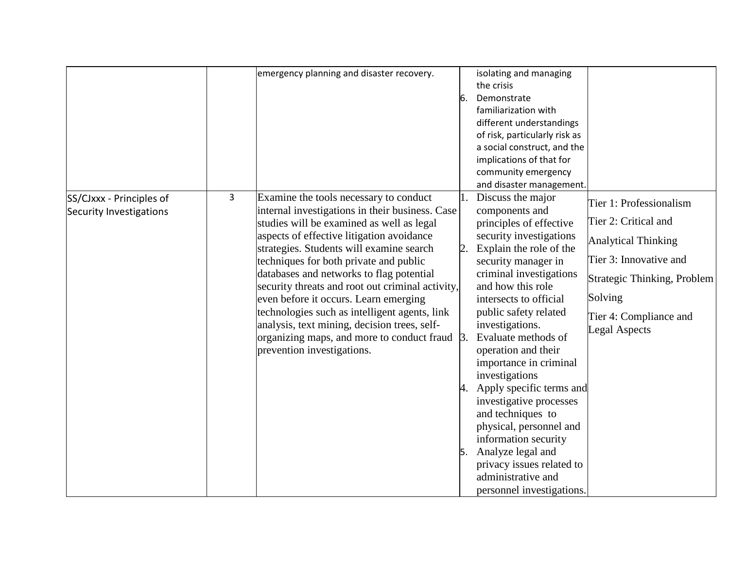|                          |   | emergency planning and disaster recovery.            |    | isolating and managing        |                             |
|--------------------------|---|------------------------------------------------------|----|-------------------------------|-----------------------------|
|                          |   |                                                      |    | the crisis                    |                             |
|                          |   |                                                      | 6. | Demonstrate                   |                             |
|                          |   |                                                      |    | familiarization with          |                             |
|                          |   |                                                      |    | different understandings      |                             |
|                          |   |                                                      |    | of risk, particularly risk as |                             |
|                          |   |                                                      |    | a social construct, and the   |                             |
|                          |   |                                                      |    | implications of that for      |                             |
|                          |   |                                                      |    | community emergency           |                             |
|                          |   |                                                      |    | and disaster management.      |                             |
| SS/CJxxx - Principles of | 3 | Examine the tools necessary to conduct               |    | Discuss the major             | Tier 1: Professionalism     |
| Security Investigations  |   | internal investigations in their business. Case      |    | components and                |                             |
|                          |   | studies will be examined as well as legal            |    | principles of effective       | Tier 2: Critical and        |
|                          |   | aspects of effective litigation avoidance            |    | security investigations       | <b>Analytical Thinking</b>  |
|                          |   | strategies. Students will examine search             |    | 2. Explain the role of the    |                             |
|                          |   | techniques for both private and public               |    | security manager in           | Tier 3: Innovative and      |
|                          |   | databases and networks to flag potential             |    | criminal investigations       | Strategic Thinking, Problem |
|                          |   | security threats and root out criminal activity,     |    | and how this role             |                             |
|                          |   | even before it occurs. Learn emerging                |    | intersects to official        | Solving                     |
|                          |   | technologies such as intelligent agents, link        |    | public safety related         | Tier 4: Compliance and      |
|                          |   | analysis, text mining, decision trees, self-         |    | investigations.               | <b>Legal Aspects</b>        |
|                          |   | organizing maps, and more to conduct fraud $\beta$ . |    | Evaluate methods of           |                             |
|                          |   | prevention investigations.                           |    | operation and their           |                             |
|                          |   |                                                      |    | importance in criminal        |                             |
|                          |   |                                                      |    | investigations                |                             |
|                          |   |                                                      |    | 4. Apply specific terms and   |                             |
|                          |   |                                                      |    | investigative processes       |                             |
|                          |   |                                                      |    | and techniques to             |                             |
|                          |   |                                                      |    | physical, personnel and       |                             |
|                          |   |                                                      |    | information security          |                             |
|                          |   |                                                      |    | 5. Analyze legal and          |                             |
|                          |   |                                                      |    | privacy issues related to     |                             |
|                          |   |                                                      |    | administrative and            |                             |
|                          |   |                                                      |    |                               |                             |
|                          |   |                                                      |    | personnel investigations.     |                             |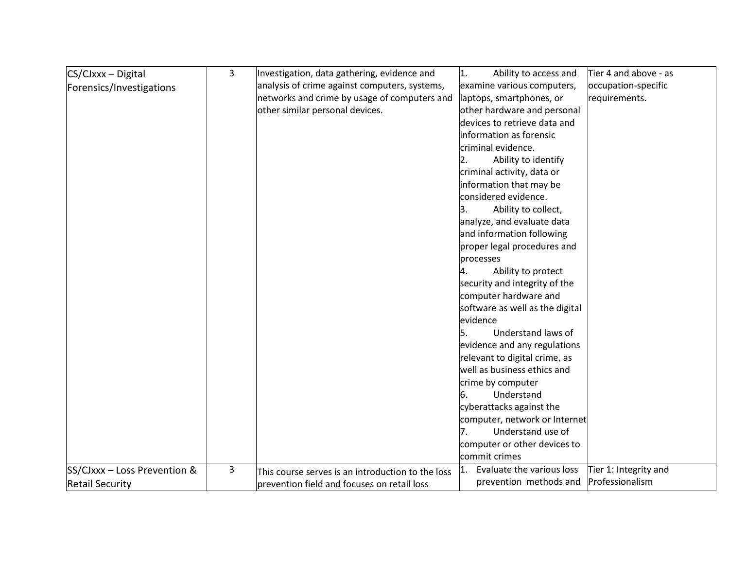| CS/CJxxx - Digital           | 3 | Investigation, data gathering, evidence and       | Ability to access and<br>1.             | Tier 4 and above - as |
|------------------------------|---|---------------------------------------------------|-----------------------------------------|-----------------------|
| Forensics/Investigations     |   | analysis of crime against computers, systems,     | examine various computers,              | occupation-specific   |
|                              |   | networks and crime by usage of computers and      | laptops, smartphones, or                | requirements.         |
|                              |   | other similar personal devices.                   | other hardware and personal             |                       |
|                              |   |                                                   | devices to retrieve data and            |                       |
|                              |   |                                                   | information as forensic                 |                       |
|                              |   |                                                   | criminal evidence.                      |                       |
|                              |   |                                                   | Ability to identify<br>$\overline{2}$ . |                       |
|                              |   |                                                   | criminal activity, data or              |                       |
|                              |   |                                                   | information that may be                 |                       |
|                              |   |                                                   | considered evidence.                    |                       |
|                              |   |                                                   | Ability to collect,<br>З.               |                       |
|                              |   |                                                   | analyze, and evaluate data              |                       |
|                              |   |                                                   | and information following               |                       |
|                              |   |                                                   | proper legal procedures and             |                       |
|                              |   |                                                   | processes                               |                       |
|                              |   |                                                   | Ability to protect<br>4.                |                       |
|                              |   |                                                   | security and integrity of the           |                       |
|                              |   |                                                   | computer hardware and                   |                       |
|                              |   |                                                   | software as well as the digital         |                       |
|                              |   |                                                   | evidence                                |                       |
|                              |   |                                                   | Understand laws of<br>15.               |                       |
|                              |   |                                                   | evidence and any regulations            |                       |
|                              |   |                                                   | relevant to digital crime, as           |                       |
|                              |   |                                                   | well as business ethics and             |                       |
|                              |   |                                                   | crime by computer                       |                       |
|                              |   |                                                   | Understand<br>6.                        |                       |
|                              |   |                                                   | cyberattacks against the                |                       |
|                              |   |                                                   | computer, network or Internet           |                       |
|                              |   |                                                   | Understand use of<br>17.                |                       |
|                              |   |                                                   | computer or other devices to            |                       |
|                              |   |                                                   | commit crimes                           |                       |
| SS/CJxxx - Loss Prevention & | 3 | This course serves is an introduction to the loss | Evaluate the various loss               | Tier 1: Integrity and |
| <b>Retail Security</b>       |   | prevention field and focuses on retail loss       | prevention methods and                  | Professionalism       |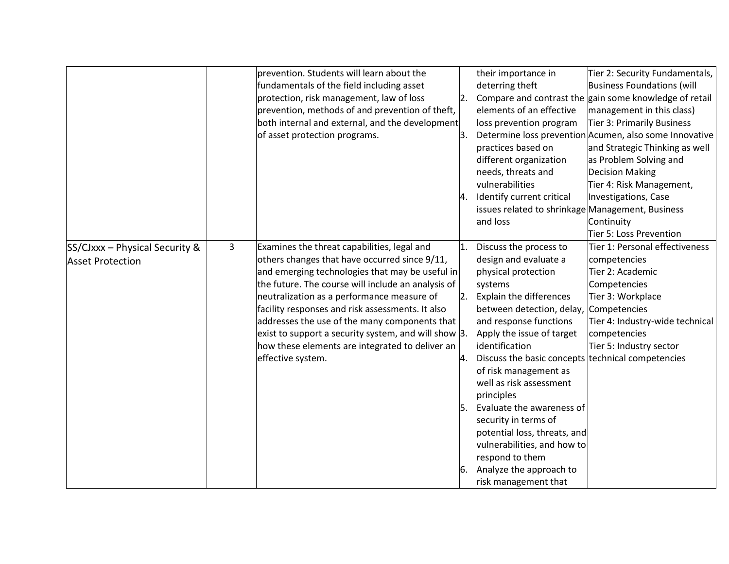|                                                             |   | prevention. Students will learn about the<br>fundamentals of the field including asset<br>protection, risk management, law of loss<br>prevention, methods of and prevention of theft,<br>both internal and external, and the development<br>of asset protection programs.                                                                                                                                                                                                                | З. | their importance in<br>deterring theft<br>elements of an effective<br>loss prevention program<br>practices based on<br>different organization<br>needs, threats and<br>vulnerabilities<br>Identify current critical<br>issues related to shrinkage Management, Business<br>and loss                                                                                                                                                                                                                                                 | Tier 2: Security Fundamentals,<br>Business Foundations (will<br>Compare and contrast the gain some knowledge of retail<br>management in this class)<br>Tier 3: Primarily Business<br>Determine loss prevention Acumen, also some Innovative<br>and Strategic Thinking as well<br>as Problem Solving and<br><b>Decision Making</b><br>Tier 4: Risk Management,<br>Investigations, Case<br>Continuity<br>Tier 5: Loss Prevention |
|-------------------------------------------------------------|---|------------------------------------------------------------------------------------------------------------------------------------------------------------------------------------------------------------------------------------------------------------------------------------------------------------------------------------------------------------------------------------------------------------------------------------------------------------------------------------------|----|-------------------------------------------------------------------------------------------------------------------------------------------------------------------------------------------------------------------------------------------------------------------------------------------------------------------------------------------------------------------------------------------------------------------------------------------------------------------------------------------------------------------------------------|--------------------------------------------------------------------------------------------------------------------------------------------------------------------------------------------------------------------------------------------------------------------------------------------------------------------------------------------------------------------------------------------------------------------------------|
| $SS/CJxxx - Physical Security &$<br><b>Asset Protection</b> | 3 | Examines the threat capabilities, legal and<br>others changes that have occurred since 9/11,<br>and emerging technologies that may be useful in<br>the future. The course will include an analysis of<br>neutralization as a performance measure of<br>facility responses and risk assessments. It also<br>addresses the use of the many components that<br>exist to support a security system, and will show 3.<br>how these elements are integrated to deliver an<br>effective system. |    | Discuss the process to<br>design and evaluate a<br>physical protection<br>systems<br>Explain the differences<br>between detection, delay,<br>and response functions<br>Apply the issue of target<br>identification<br>Discuss the basic concepts technical competencies<br>of risk management as<br>well as risk assessment<br>principles<br>Evaluate the awareness of<br>security in terms of<br>potential loss, threats, and<br>vulnerabilities, and how to<br>respond to them<br>Analyze the approach to<br>risk management that | Tier 1: Personal effectiveness<br>competencies<br>Tier 2: Academic<br>Competencies<br>Tier 3: Workplace<br>Competencies<br>Tier 4: Industry-wide technical<br>competencies<br>Tier 5: Industry sector                                                                                                                                                                                                                          |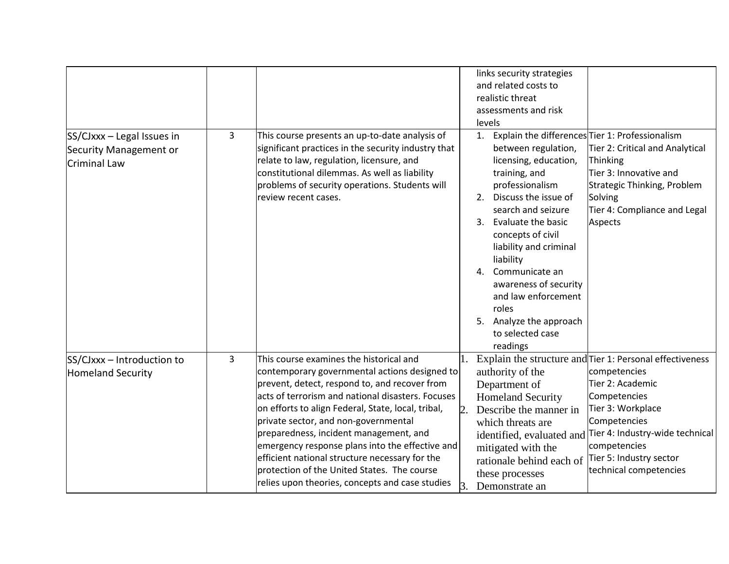|                                                                             |   |                                                                                                                                                                                                                                                                                                                                                                                                                                                                                                                                               |                      | links security strategies<br>and related costs to<br>realistic threat<br>assessments and risk<br>levels                                                                                                                                                                                                                                                                           |                                                                                                                                                                                                                                                                                        |
|-----------------------------------------------------------------------------|---|-----------------------------------------------------------------------------------------------------------------------------------------------------------------------------------------------------------------------------------------------------------------------------------------------------------------------------------------------------------------------------------------------------------------------------------------------------------------------------------------------------------------------------------------------|----------------------|-----------------------------------------------------------------------------------------------------------------------------------------------------------------------------------------------------------------------------------------------------------------------------------------------------------------------------------------------------------------------------------|----------------------------------------------------------------------------------------------------------------------------------------------------------------------------------------------------------------------------------------------------------------------------------------|
| SS/CJxxx - Legal Issues in<br><b>Security Management or</b><br>Criminal Law | 3 | This course presents an up-to-date analysis of<br>significant practices in the security industry that<br>relate to law, regulation, licensure, and<br>constitutional dilemmas. As well as liability<br>problems of security operations. Students will<br>review recent cases.                                                                                                                                                                                                                                                                 |                      | 1.<br>between regulation,<br>licensing, education,<br>training, and<br>professionalism<br>Discuss the issue of<br>2.<br>search and seizure<br>Evaluate the basic<br>3.<br>concepts of civil<br>liability and criminal<br>liability<br>Communicate an<br>4.<br>awareness of security<br>and law enforcement<br>roles<br>Analyze the approach<br>5.<br>to selected case<br>readings | Explain the differences Tier 1: Professionalism<br>Tier 2: Critical and Analytical<br>Thinking<br>Tier 3: Innovative and<br>Strategic Thinking, Problem<br>Solving<br>Tier 4: Compliance and Legal<br>Aspects                                                                          |
| SS/CJxxx - Introduction to<br><b>Homeland Security</b>                      | 3 | This course examines the historical and<br>contemporary governmental actions designed to<br>prevent, detect, respond to, and recover from<br>acts of terrorism and national disasters. Focuses<br>on efforts to align Federal, State, local, tribal,<br>private sector, and non-governmental<br>preparedness, incident management, and<br>emergency response plans into the effective and<br>efficient national structure necessary for the<br>protection of the United States. The course<br>relies upon theories, concepts and case studies | $\overline{2}$<br>3. | authority of the<br>Department of<br><b>Homeland Security</b><br>Describe the manner in<br>which threats are<br>mitigated with the<br>rationale behind each of<br>these processes<br>Demonstrate an                                                                                                                                                                               | 1. Explain the structure and Tier 1: Personal effectiveness<br>competencies<br>Tier 2: Academic<br>Competencies<br>Tier 3: Workplace<br>Competencies<br>identified, evaluated and Tier 4: Industry-wide technical<br>competencies<br>Tier 5: Industry sector<br>technical competencies |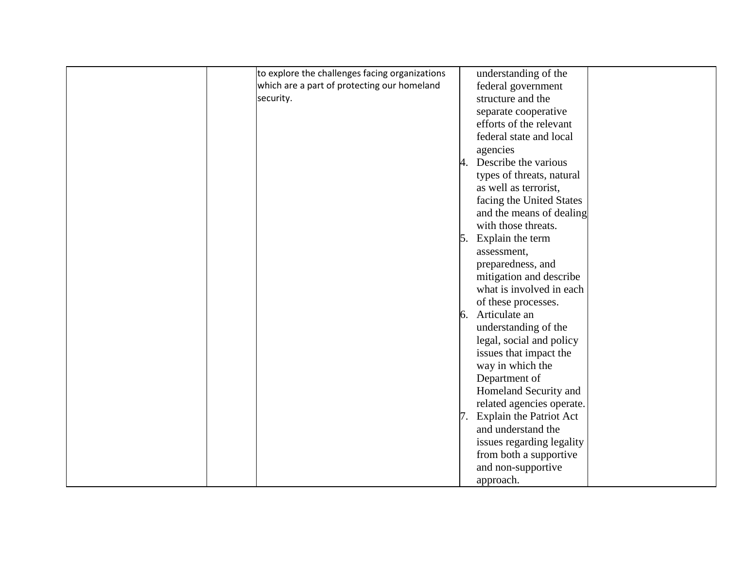| to explore the challenges facing organizations | understanding of the       |  |
|------------------------------------------------|----------------------------|--|
| which are a part of protecting our homeland    | federal government         |  |
| security.                                      | structure and the          |  |
|                                                | separate cooperative       |  |
|                                                | efforts of the relevant    |  |
|                                                | federal state and local    |  |
|                                                | agencies                   |  |
|                                                | 4. Describe the various    |  |
|                                                | types of threats, natural  |  |
|                                                | as well as terrorist,      |  |
|                                                | facing the United States   |  |
|                                                | and the means of dealing   |  |
|                                                | with those threats.        |  |
|                                                | 5. Explain the term        |  |
|                                                | assessment,                |  |
|                                                |                            |  |
|                                                | preparedness, and          |  |
|                                                | mitigation and describe    |  |
|                                                | what is involved in each   |  |
|                                                | of these processes.        |  |
|                                                | 6. Articulate an           |  |
|                                                | understanding of the       |  |
|                                                | legal, social and policy   |  |
|                                                | issues that impact the     |  |
|                                                | way in which the           |  |
|                                                | Department of              |  |
|                                                | Homeland Security and      |  |
|                                                | related agencies operate.  |  |
|                                                | 7. Explain the Patriot Act |  |
|                                                | and understand the         |  |
|                                                | issues regarding legality  |  |
|                                                | from both a supportive     |  |
|                                                |                            |  |
|                                                | and non-supportive         |  |
|                                                | approach.                  |  |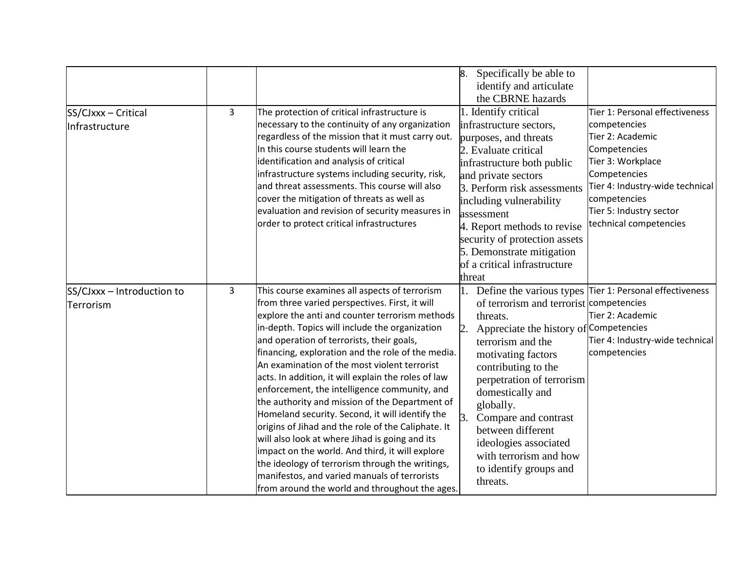| SS/CJxxx - Critical<br>Infrastructure   | $\mathbf{3}$ | The protection of critical infrastructure is<br>necessary to the continuity of any organization<br>regardless of the mission that it must carry out.<br>In this course students will learn the<br>identification and analysis of critical<br>infrastructure systems including security, risk,<br>and threat assessments. This course will also<br>cover the mitigation of threats as well as<br>evaluation and revision of security measures in<br>order to protect critical infrastructures                                                                                                                                                                                                                                                                                                                                                                                      | 8. Specifically be able to<br>identify and articulate<br>the CBRNE hazards<br>1. Identify critical<br>infrastructure sectors,<br>purposes, and threats<br>2. Evaluate critical<br>infrastructure both public<br>and private sectors<br>3. Perform risk assessments<br>including vulnerability<br>assessment<br>4. Report methods to revise<br>security of protection assets<br>5. Demonstrate mitigation<br>of a critical infrastructure<br>threat | Tier 1: Personal effectiveness<br>competencies<br>Tier 2: Academic<br>Competencies<br>Tier 3: Workplace<br>Competencies<br>Tier 4: Industry-wide technical<br>competencies<br>Tier 5: Industry sector<br>technical competencies |
|-----------------------------------------|--------------|-----------------------------------------------------------------------------------------------------------------------------------------------------------------------------------------------------------------------------------------------------------------------------------------------------------------------------------------------------------------------------------------------------------------------------------------------------------------------------------------------------------------------------------------------------------------------------------------------------------------------------------------------------------------------------------------------------------------------------------------------------------------------------------------------------------------------------------------------------------------------------------|----------------------------------------------------------------------------------------------------------------------------------------------------------------------------------------------------------------------------------------------------------------------------------------------------------------------------------------------------------------------------------------------------------------------------------------------------|---------------------------------------------------------------------------------------------------------------------------------------------------------------------------------------------------------------------------------|
| SS/CJxxx - Introduction to<br>Terrorism | $\mathbf{3}$ | This course examines all aspects of terrorism<br>from three varied perspectives. First, it will<br>explore the anti and counter terrorism methods<br>in-depth. Topics will include the organization<br>and operation of terrorists, their goals,<br>financing, exploration and the role of the media.<br>An examination of the most violent terrorist<br>acts. In addition, it will explain the roles of law<br>enforcement, the intelligence community, and<br>the authority and mission of the Department of<br>Homeland security. Second, it will identify the<br>origins of Jihad and the role of the Caliphate. It<br>will also look at where Jihad is going and its<br>impact on the world. And third, it will explore<br>the ideology of terrorism through the writings,<br>manifestos, and varied manuals of terrorists<br>from around the world and throughout the ages. | 1.<br>of terrorism and terrorist competencies<br>threats.<br>Appreciate the history of Competencies<br>2.<br>terrorism and the<br>motivating factors<br>contributing to the<br>perpetration of terrorism<br>domestically and<br>globally.<br>Compare and contrast<br>3.<br>between different<br>ideologies associated<br>with terrorism and how<br>to identify groups and<br>threats.                                                              | Define the various types Tier 1: Personal effectiveness<br>Tier 2: Academic<br>Tier 4: Industry-wide technical<br>competencies                                                                                                  |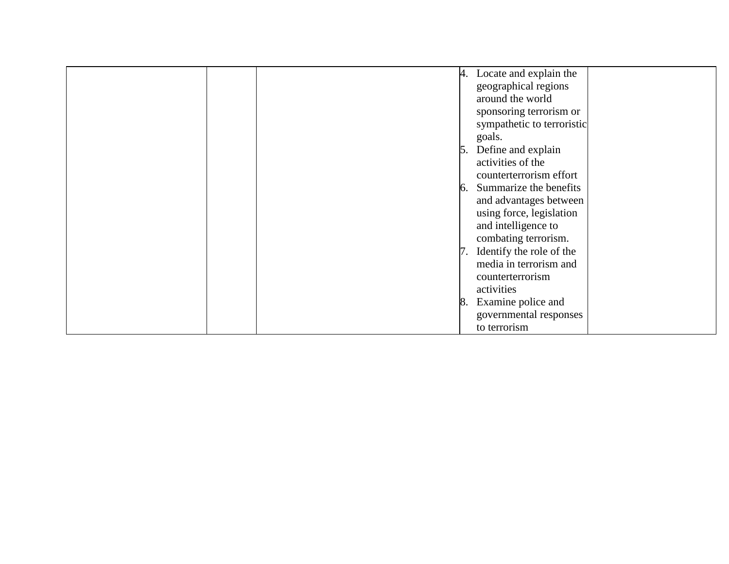| 4. Locate and explain the<br>geographical regions<br>around the world<br>sponsoring terrorism or<br>sympathetic to terroristic<br>goals.<br>5. Define and explain<br>activities of the<br>counterterrorism effort<br>6. Summarize the benefits<br>and advantages between<br>using force, legislation<br>and intelligence to |
|-----------------------------------------------------------------------------------------------------------------------------------------------------------------------------------------------------------------------------------------------------------------------------------------------------------------------------|
|                                                                                                                                                                                                                                                                                                                             |
|                                                                                                                                                                                                                                                                                                                             |
|                                                                                                                                                                                                                                                                                                                             |
|                                                                                                                                                                                                                                                                                                                             |
|                                                                                                                                                                                                                                                                                                                             |
|                                                                                                                                                                                                                                                                                                                             |
|                                                                                                                                                                                                                                                                                                                             |
|                                                                                                                                                                                                                                                                                                                             |
|                                                                                                                                                                                                                                                                                                                             |
|                                                                                                                                                                                                                                                                                                                             |
|                                                                                                                                                                                                                                                                                                                             |
|                                                                                                                                                                                                                                                                                                                             |
|                                                                                                                                                                                                                                                                                                                             |
| combating terrorism.                                                                                                                                                                                                                                                                                                        |
| 7. Identify the role of the                                                                                                                                                                                                                                                                                                 |
| media in terrorism and                                                                                                                                                                                                                                                                                                      |
| counterterrorism                                                                                                                                                                                                                                                                                                            |
| activities                                                                                                                                                                                                                                                                                                                  |
| 8. Examine police and                                                                                                                                                                                                                                                                                                       |
| governmental responses                                                                                                                                                                                                                                                                                                      |
| to terrorism                                                                                                                                                                                                                                                                                                                |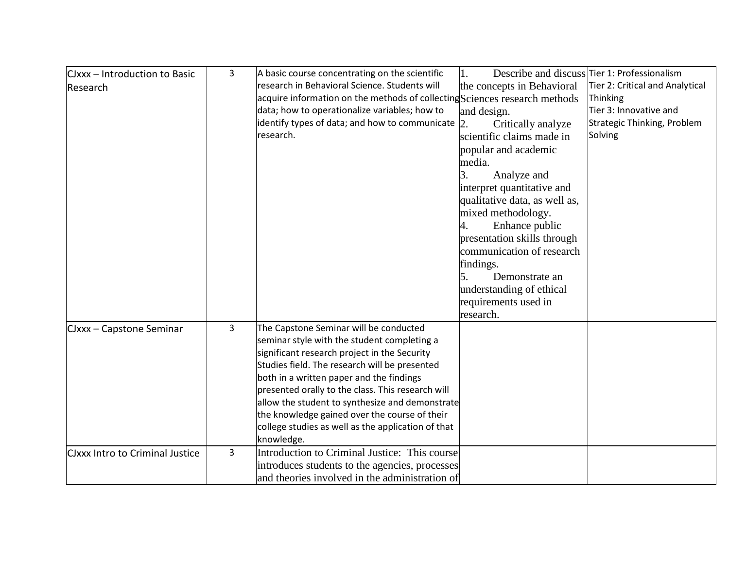| CJxxx - Introduction to Basic          | 3 | A basic course concentrating on the scientific                             | 1.                            | Describe and discuss Tier 1: Professionalism |
|----------------------------------------|---|----------------------------------------------------------------------------|-------------------------------|----------------------------------------------|
| Research                               |   | research in Behavioral Science. Students will                              | the concepts in Behavioral    | Tier 2: Critical and Analytical              |
|                                        |   | acquire information on the methods of collecting Sciences research methods |                               | Thinking                                     |
|                                        |   | data; how to operationalize variables; how to                              | and design.                   | Tier 3: Innovative and                       |
|                                        |   | identify types of data; and how to communicate $ 2$ .                      | Critically analyze            | Strategic Thinking, Problem                  |
|                                        |   | research.                                                                  | scientific claims made in     | Solving                                      |
|                                        |   |                                                                            | popular and academic          |                                              |
|                                        |   |                                                                            | media.                        |                                              |
|                                        |   |                                                                            | 3.<br>Analyze and             |                                              |
|                                        |   |                                                                            | interpret quantitative and    |                                              |
|                                        |   |                                                                            | qualitative data, as well as, |                                              |
|                                        |   |                                                                            | mixed methodology.            |                                              |
|                                        |   |                                                                            | Enhance public<br>4.          |                                              |
|                                        |   |                                                                            | presentation skills through   |                                              |
|                                        |   |                                                                            | communication of research     |                                              |
|                                        |   |                                                                            | findings.                     |                                              |
|                                        |   |                                                                            | 5.<br>Demonstrate an          |                                              |
|                                        |   |                                                                            | understanding of ethical      |                                              |
|                                        |   |                                                                            | requirements used in          |                                              |
|                                        |   |                                                                            | research.                     |                                              |
| CJxxx - Capstone Seminar               | 3 | The Capstone Seminar will be conducted                                     |                               |                                              |
|                                        |   | seminar style with the student completing a                                |                               |                                              |
|                                        |   | significant research project in the Security                               |                               |                                              |
|                                        |   | Studies field. The research will be presented                              |                               |                                              |
|                                        |   | both in a written paper and the findings                                   |                               |                                              |
|                                        |   | presented orally to the class. This research will                          |                               |                                              |
|                                        |   | allow the student to synthesize and demonstrate                            |                               |                                              |
|                                        |   | the knowledge gained over the course of their                              |                               |                                              |
|                                        |   | college studies as well as the application of that                         |                               |                                              |
|                                        |   | knowledge.                                                                 |                               |                                              |
| <b>CJxxx Intro to Criminal Justice</b> | 3 | Introduction to Criminal Justice: This course                              |                               |                                              |
|                                        |   | introduces students to the agencies, processes                             |                               |                                              |
|                                        |   | and theories involved in the administration of                             |                               |                                              |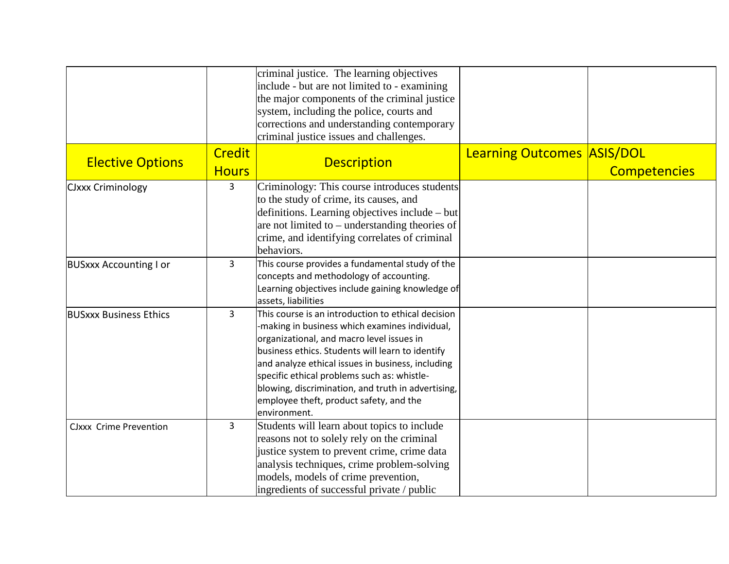|                               |                | criminal justice. The learning objectives<br>include - but are not limited to - examining     |                                   |                     |
|-------------------------------|----------------|-----------------------------------------------------------------------------------------------|-----------------------------------|---------------------|
|                               |                | the major components of the criminal justice                                                  |                                   |                     |
|                               |                | system, including the police, courts and                                                      |                                   |                     |
|                               |                | corrections and understanding contemporary                                                    |                                   |                     |
|                               |                | criminal justice issues and challenges.                                                       |                                   |                     |
|                               | <b>Credit</b>  |                                                                                               | <b>Learning Outcomes ASIS/DOL</b> |                     |
| <b>Elective Options</b>       | <b>Hours</b>   | <b>Description</b>                                                                            |                                   | <b>Competencies</b> |
| <b>CJxxx Criminology</b>      | 3              | Criminology: This course introduces students                                                  |                                   |                     |
|                               |                | to the study of crime, its causes, and                                                        |                                   |                     |
|                               |                | definitions. Learning objectives include - but                                                |                                   |                     |
|                               |                | are not limited to $-$ understanding theories of                                              |                                   |                     |
|                               |                | crime, and identifying correlates of criminal                                                 |                                   |                     |
|                               |                | behaviors.                                                                                    |                                   |                     |
| <b>BUSxxx Accounting I or</b> | $\overline{3}$ | This course provides a fundamental study of the                                               |                                   |                     |
|                               |                | concepts and methodology of accounting.                                                       |                                   |                     |
|                               |                | Learning objectives include gaining knowledge of                                              |                                   |                     |
|                               |                | assets, liabilities                                                                           |                                   |                     |
| <b>BUSXXX Business Ethics</b> | $\overline{3}$ | This course is an introduction to ethical decision                                            |                                   |                     |
|                               |                | -making in business which examines individual,                                                |                                   |                     |
|                               |                | organizational, and macro level issues in                                                     |                                   |                     |
|                               |                | business ethics. Students will learn to identify                                              |                                   |                     |
|                               |                | and analyze ethical issues in business, including                                             |                                   |                     |
|                               |                | specific ethical problems such as: whistle-                                                   |                                   |                     |
|                               |                | blowing, discrimination, and truth in advertising,<br>employee theft, product safety, and the |                                   |                     |
|                               |                | environment.                                                                                  |                                   |                     |
| <b>CJxxx Crime Prevention</b> | $\overline{3}$ | Students will learn about topics to include                                                   |                                   |                     |
|                               |                | reasons not to solely rely on the criminal                                                    |                                   |                     |
|                               |                | justice system to prevent crime, crime data                                                   |                                   |                     |
|                               |                | analysis techniques, crime problem-solving                                                    |                                   |                     |
|                               |                | models, models of crime prevention,                                                           |                                   |                     |
|                               |                | ingredients of successful private / public                                                    |                                   |                     |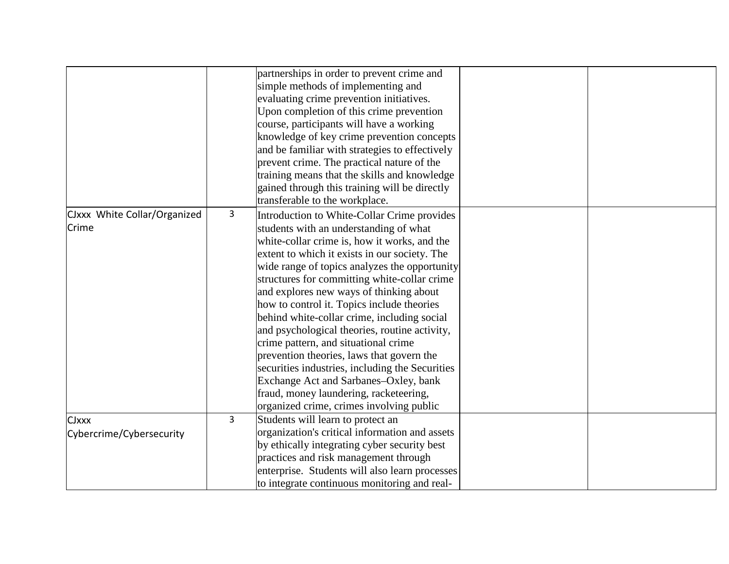|                              |   | partnerships in order to prevent crime and      |  |
|------------------------------|---|-------------------------------------------------|--|
|                              |   |                                                 |  |
|                              |   | simple methods of implementing and              |  |
|                              |   | evaluating crime prevention initiatives.        |  |
|                              |   | Upon completion of this crime prevention        |  |
|                              |   | course, participants will have a working        |  |
|                              |   | knowledge of key crime prevention concepts      |  |
|                              |   | and be familiar with strategies to effectively  |  |
|                              |   | prevent crime. The practical nature of the      |  |
|                              |   | training means that the skills and knowledge    |  |
|                              |   | gained through this training will be directly   |  |
|                              |   | transferable to the workplace.                  |  |
| CJxxx White Collar/Organized | 3 | Introduction to White-Collar Crime provides     |  |
| Crime                        |   | students with an understanding of what          |  |
|                              |   | white-collar crime is, how it works, and the    |  |
|                              |   | extent to which it exists in our society. The   |  |
|                              |   | wide range of topics analyzes the opportunity   |  |
|                              |   |                                                 |  |
|                              |   | structures for committing white-collar crime    |  |
|                              |   | and explores new ways of thinking about         |  |
|                              |   | how to control it. Topics include theories      |  |
|                              |   | behind white-collar crime, including social     |  |
|                              |   | and psychological theories, routine activity,   |  |
|                              |   | crime pattern, and situational crime            |  |
|                              |   | prevention theories, laws that govern the       |  |
|                              |   | securities industries, including the Securities |  |
|                              |   | Exchange Act and Sarbanes-Oxley, bank           |  |
|                              |   | fraud, money laundering, racketeering,          |  |
|                              |   | organized crime, crimes involving public        |  |
| <b>CJxxx</b>                 | 3 | Students will learn to protect an               |  |
| Cybercrime/Cybersecurity     |   | organization's critical information and assets  |  |
|                              |   | by ethically integrating cyber security best    |  |
|                              |   | practices and risk management through           |  |
|                              |   | enterprise. Students will also learn processes  |  |
|                              |   | to integrate continuous monitoring and real-    |  |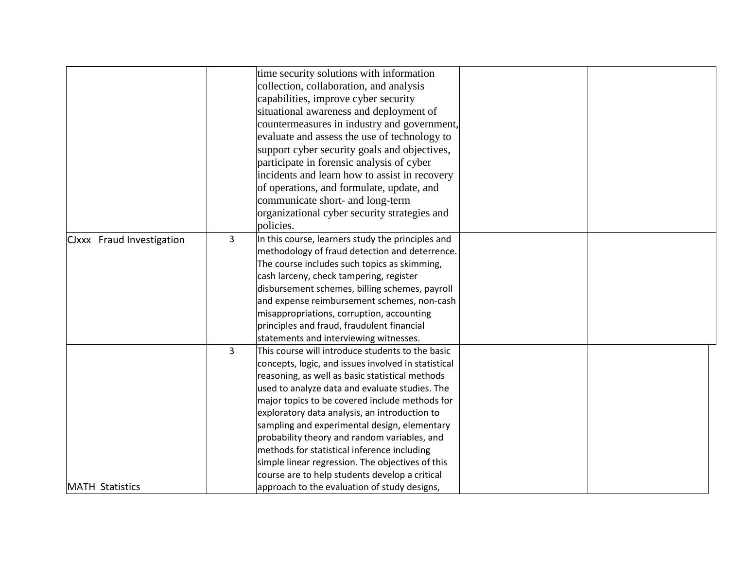|                           |                | time security solutions with information            |  |
|---------------------------|----------------|-----------------------------------------------------|--|
|                           |                | collection, collaboration, and analysis             |  |
|                           |                | capabilities, improve cyber security                |  |
|                           |                | situational awareness and deployment of             |  |
|                           |                | countermeasures in industry and government,         |  |
|                           |                | evaluate and assess the use of technology to        |  |
|                           |                | support cyber security goals and objectives,        |  |
|                           |                | participate in forensic analysis of cyber           |  |
|                           |                | incidents and learn how to assist in recovery       |  |
|                           |                | of operations, and formulate, update, and           |  |
|                           |                | communicate short- and long-term                    |  |
|                           |                | organizational cyber security strategies and        |  |
|                           |                | policies.                                           |  |
| CJxxx Fraud Investigation | 3              | In this course, learners study the principles and   |  |
|                           |                | methodology of fraud detection and deterrence.      |  |
|                           |                | The course includes such topics as skimming,        |  |
|                           |                | cash larceny, check tampering, register             |  |
|                           |                | disbursement schemes, billing schemes, payroll      |  |
|                           |                | and expense reimbursement schemes, non-cash         |  |
|                           |                | misappropriations, corruption, accounting           |  |
|                           |                | principles and fraud, fraudulent financial          |  |
|                           |                | statements and interviewing witnesses.              |  |
|                           | $\overline{3}$ | This course will introduce students to the basic    |  |
|                           |                | concepts, logic, and issues involved in statistical |  |
|                           |                | reasoning, as well as basic statistical methods     |  |
|                           |                | used to analyze data and evaluate studies. The      |  |
|                           |                | major topics to be covered include methods for      |  |
|                           |                | exploratory data analysis, an introduction to       |  |
|                           |                | sampling and experimental design, elementary        |  |
|                           |                | probability theory and random variables, and        |  |
|                           |                | methods for statistical inference including         |  |
|                           |                | simple linear regression. The objectives of this    |  |
|                           |                | course are to help students develop a critical      |  |
| <b>MATH Statistics</b>    |                | approach to the evaluation of study designs,        |  |